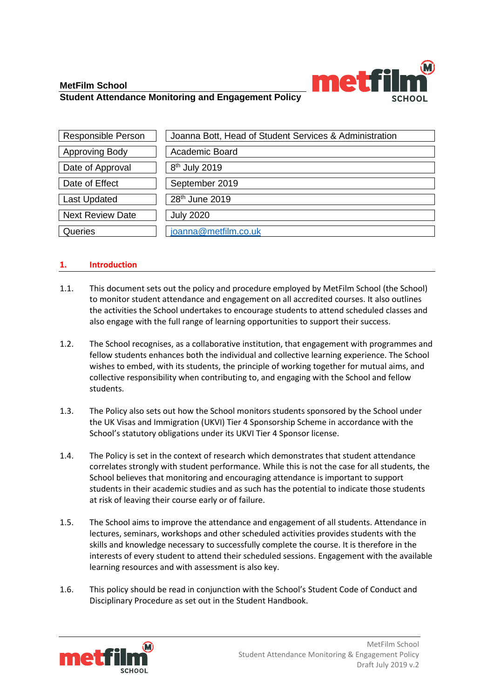

# **MetFilm School Student Attendance Monitoring and Engagement Policy**

| Responsible Person      | Joanna Bott, Head of Student Services & Administration |
|-------------------------|--------------------------------------------------------|
| <b>Approving Body</b>   | Academic Board                                         |
| Date of Approval        | 8 <sup>th</sup> July 2019                              |
| Date of Effect          | September 2019                                         |
| <b>Last Updated</b>     | 28 <sup>th</sup> June 2019                             |
| <b>Next Review Date</b> | <b>July 2020</b>                                       |
| Queries                 | joanna@metfilm.co.uk                                   |

# **1. Introduction**

- 1.1. This document sets out the policy and procedure employed by MetFilm School (the School) to monitor student attendance and engagement on all accredited courses. It also outlines the activities the School undertakes to encourage students to attend scheduled classes and also engage with the full range of learning opportunities to support their success.
- 1.2. The School recognises, as a collaborative institution, that engagement with programmes and fellow students enhances both the individual and collective learning experience. The School wishes to embed, with its students, the principle of working together for mutual aims, and collective responsibility when contributing to, and engaging with the School and fellow students.
- 1.3. The Policy also sets out how the School monitors students sponsored by the School under the UK Visas and Immigration (UKVI) Tier 4 Sponsorship Scheme in accordance with the School's statutory obligations under its UKVI Tier 4 Sponsor license.
- 1.4. The Policy is set in the context of research which demonstrates that student attendance correlates strongly with student performance. While this is not the case for all students, the School believes that monitoring and encouraging attendance is important to support students in their academic studies and as such has the potential to indicate those students at risk of leaving their course early or of failure.
- 1.5. The School aims to improve the attendance and engagement of all students. Attendance in lectures, seminars, workshops and other scheduled activities provides students with the skills and knowledge necessary to successfully complete the course. It is therefore in the interests of every student to attend their scheduled sessions. Engagement with the available learning resources and with assessment is also key.
- 1.6. This policy should be read in conjunction with the School's Student Code of Conduct and Disciplinary Procedure as set out in the Student Handbook.

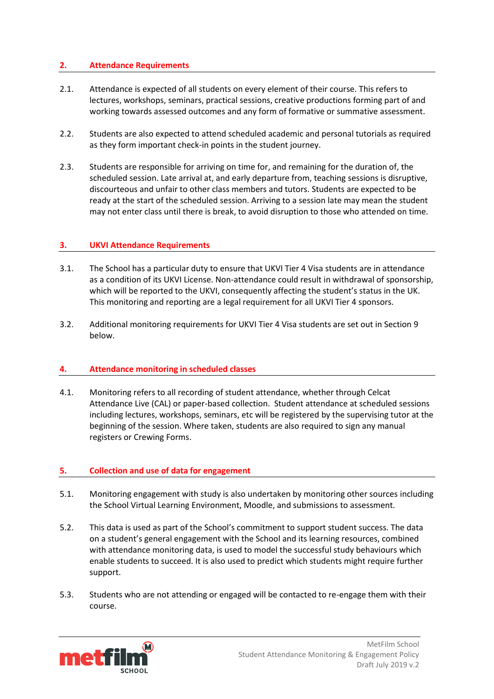# **2. Attendance Requirements**

- 2.1. Attendance is expected of all students on every element of their course. This refers to lectures, workshops, seminars, practical sessions, creative productions forming part of and working towards assessed outcomes and any form of formative or summative assessment.
- 2.2. Students are also expected to attend scheduled academic and personal tutorials as required as they form important check-in points in the student journey.
- 2.3. Students are responsible for arriving on time for, and remaining for the duration of, the scheduled session. Late arrival at, and early departure from, teaching sessions is disruptive, discourteous and unfair to other class members and tutors. Students are expected to be ready at the start of the scheduled session. Arriving to a session late may mean the student may not enter class until there is break, to avoid disruption to those who attended on time.

# **3. UKVI Attendance Requirements**

- 3.1. The School has a particular duty to ensure that UKVI Tier 4 Visa students are in attendance as a condition of its UKVI License. Non-attendance could result in withdrawal of sponsorship, which will be reported to the UKVI, consequently affecting the student's status in the UK. This monitoring and reporting are a legal requirement for all UKVI Tier 4 sponsors.
- 3.2. Additional monitoring requirements for UKVI Tier 4 Visa students are set out in Section 9 below.

#### **4. Attendance monitoring in scheduled classes**

4.1. Monitoring refers to all recording of student attendance, whether through Celcat Attendance Live (CAL) or paper-based collection. Student attendance at scheduled sessions including lectures, workshops, seminars, etc will be registered by the supervising tutor at the beginning of the session. Where taken, students are also required to sign any manual registers or Crewing Forms.

#### **5. Collection and use of data for engagement**

- 5.1. Monitoring engagement with study is also undertaken by monitoring other sources including the School Virtual Learning Environment, Moodle, and submissions to assessment.
- 5.2. This data is used as part of the School's commitment to support student success. The data on a student's general engagement with the School and its learning resources, combined with attendance monitoring data, is used to model the successful study behaviours which enable students to succeed. It is also used to predict which students might require further support.
- 5.3. Students who are not attending or engaged will be contacted to re-engage them with their course.

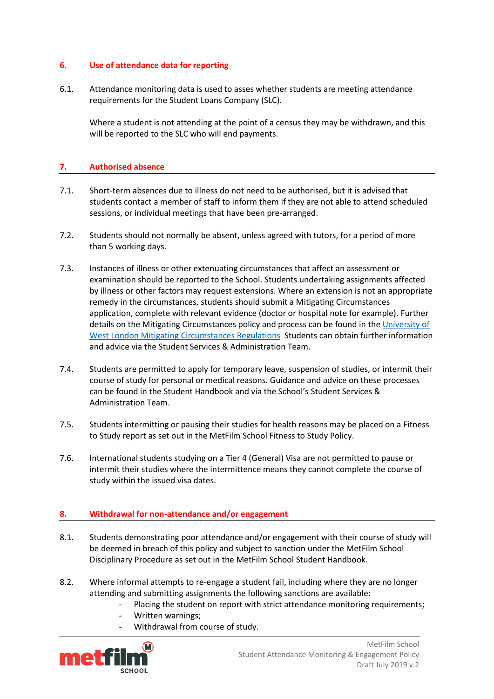# **6. Use of attendance data for reporting**

6.1. Attendance monitoring data is used to asses whether students are meeting attendance requirements for the Student Loans Company (SLC).

Where a student is not attending at the point of a census they may be withdrawn, and this will be reported to the SLC who will end payments.

# **7. Authorised absence**

- 7.1. Short-term absences due to illness do not need to be authorised, but it is advised that students contact a member of staff to inform them if they are not able to attend scheduled sessions, or individual meetings that have been pre-arranged.
- 7.2. Students should not normally be absent, unless agreed with tutors, for a period of more than 5 working days.
- 7.3. Instances of illness or other extenuating circumstances that affect an assessment or examination should be reported to the School. Students undertaking assignments affected by illness or other factors may request extensions. Where an extension is not an appropriate remedy in the circumstances, students should submit a Mitigating Circumstances application, complete with relevant evidence (doctor or hospital note for example). Further details on the Mitigating Circumstances policy and process can be found in the University of [West London Mitigating Circumstances Regulations](https://www.uwl.ac.uk/students/current-students/extensions-and-mitigating-circumstances) Students can obtain further information and advice via the Student Services & Administration Team.
- 7.4. Students are permitted to apply for temporary leave, suspension of studies, or intermit their course of study for personal or medical reasons. Guidance and advice on these processes can be found in the Student Handbook and via the School's Student Services & Administration Team.
- 7.5. Students intermitting or pausing their studies for health reasons may be placed on a Fitness to Study report as set out in the MetFilm School Fitness to Study Policy.
- 7.6. International students studying on a Tier 4 (General) Visa are not permitted to pause or intermit their studies where the intermittence means they cannot complete the course of study within the issued visa dates.

#### **8. Withdrawal for non-attendance and/or engagement**

- 8.1. Students demonstrating poor attendance and/or engagement with their course of study will be deemed in breach of this policy and subject to sanction under the MetFilm School Disciplinary Procedure as set out in the MetFilm School Student Handbook.
- 8.2. Where informal attempts to re-engage a student fail, including where they are no longer attending and submitting assignments the following sanctions are available:
	- Placing the student on report with strict attendance monitoring requirements;
	- Written warnings;
	- Withdrawal from course of study.